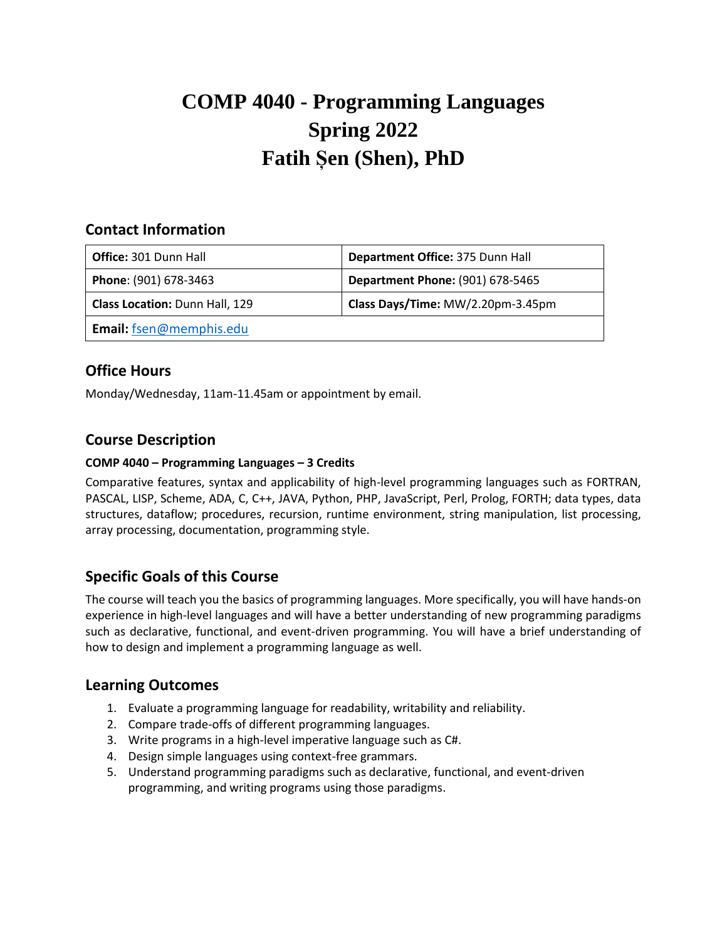# **COMP 4040 - Programming Languages Spring 2022 Fatih Șen (Shen), PhD**

#### **Contact Information**

| Office: 301 Dunn Hall                 | Department Office: 375 Dunn Hall        |
|---------------------------------------|-----------------------------------------|
| Phone: (901) 678-3463                 | <b>Department Phone: (901) 678-5465</b> |
| <b>Class Location: Dunn Hall, 129</b> | Class Days/Time: MW/2.20pm-3.45pm       |
| Email: fsen@memphis.edu               |                                         |

## **Office Hours**

Monday/Wednesday, 11am-11.45am or appointment by email.

## **Course Description**

#### **COMP 4040 – Programming Languages – 3 Credits**

Comparative features, syntax and applicability of high-level programming languages such as FORTRAN, PASCAL, LISP, Scheme, ADA, C, C++, JAVA, Python, PHP, JavaScript, Perl, Prolog, FORTH; data types, data structures, dataflow; procedures, recursion, runtime environment, string manipulation, list processing, array processing, documentation, programming style.

## **Specific Goals of this Course**

The course will teach you the basics of programming languages. More specifically, you will have hands-on experience in high-level languages and will have a better understanding of new programming paradigms such as declarative, functional, and event-driven programming. You will have a brief understanding of how to design and implement a programming language as well.

#### **Learning Outcomes**

- 1. Evaluate a programming language for readability, writability and reliability.
- 2. Compare trade-offs of different programming languages.
- 3. Write programs in a high-level imperative language such as C#.
- 4. Design simple languages using context-free grammars.
- 5. Understand programming paradigms such as declarative, functional, and event-driven programming, and writing programs using those paradigms.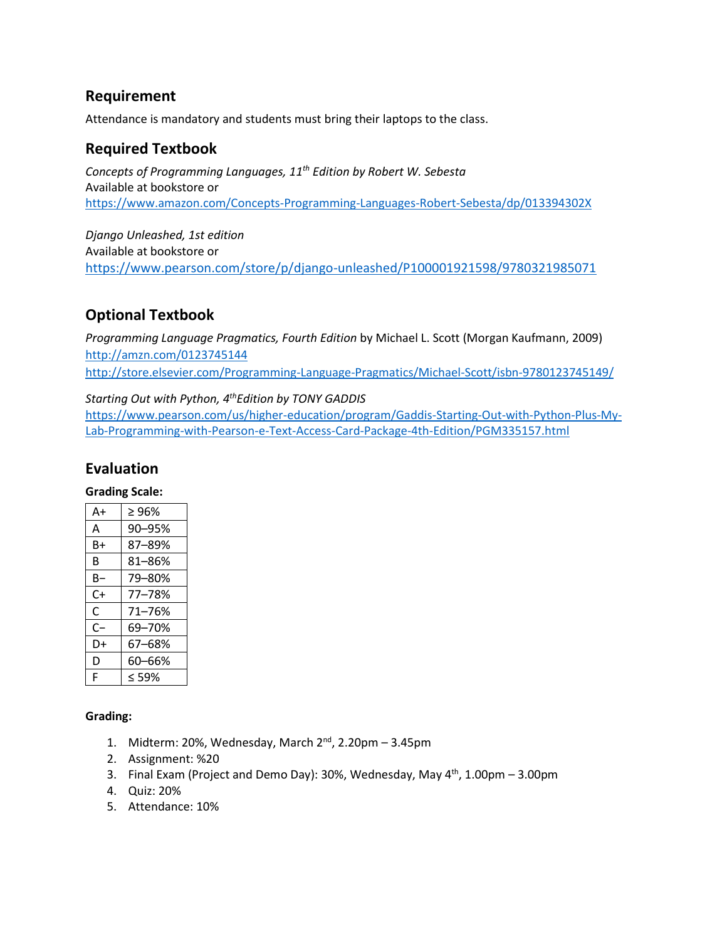#### **Requirement**

Attendance is mandatory and students must bring their laptops to the class.

## **Required Textbook**

*Concepts of Programming Languages, 11 th Edition by Robert W. Sebesta* Available at bookstore or <https://www.amazon.com/Concepts-Programming-Languages-Robert-Sebesta/dp/013394302X>

*Django Unleashed, 1st edition* Available at bookstore or <https://www.pearson.com/store/p/django-unleashed/P100001921598/9780321985071>

# **Optional Textbook**

*Programming Language Pragmatics, Fourth Edition* by Michael L. Scott (Morgan Kaufmann, 2009) <http://amzn.com/0123745144> <http://store.elsevier.com/Programming-Language-Pragmatics/Michael-Scott/isbn-9780123745149/>

*Starting Out with Python, 4 thEdition by TONY GADDIS*

[https://www.pearson.com/us/higher-education/program/Gaddis-Starting-Out-with-Python-Plus-My-](https://www.pearson.com/us/higher-education/program/Gaddis-Starting-Out-with-Python-Plus-My-Lab-Programming-with-Pearson-e-Text-Access-Card-Package-4th-Edition/PGM335157.html)[Lab-Programming-with-Pearson-e-Text-Access-Card-Package-4th-Edition/PGM335157.html](https://www.pearson.com/us/higher-education/program/Gaddis-Starting-Out-with-Python-Plus-My-Lab-Programming-with-Pearson-e-Text-Access-Card-Package-4th-Edition/PGM335157.html)

# **Evaluation**

#### **Grading Scale:**

| A+   | $\geq 96\%$ |
|------|-------------|
| A    | 90-95%      |
| B+   | 87-89%      |
| В    | 81-86%      |
| B-   | 79-80%      |
| C+   | 77-78%      |
| C    | 71-76%      |
| $C-$ | 69-70%      |
| D+   | 67–68%      |
| D    | 60–66%      |
| F    | $<$ 59%     |

#### **Grading:**

- 1. Midterm: 20%, Wednesday, March 2<sup>nd</sup>, 2.20pm 3.45pm
- 2. Assignment: %20
- 3. Final Exam (Project and Demo Day): 30%, Wednesday, May  $4^{th}$ , 1.00pm 3.00pm
- 4. Quiz: 20%
- 5. Attendance: 10%